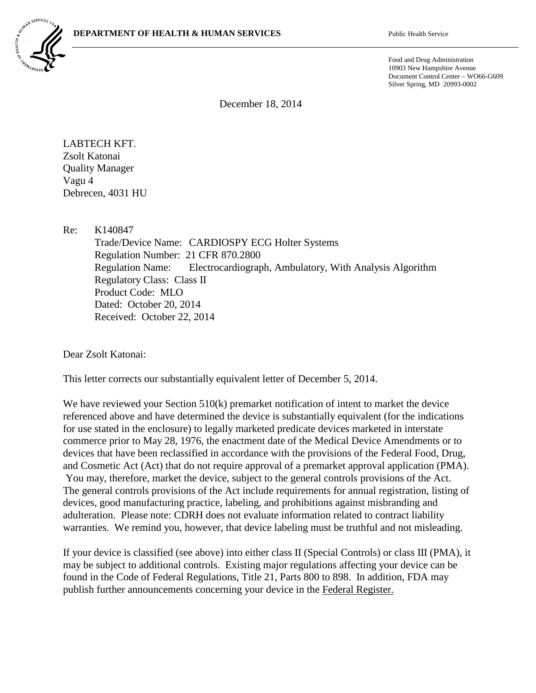

Food and Drug Administration 10903 New Hampshire Avenue Document Control Center – WO66-G609 Silver Spring, MD 20993-0002

December 18, 2014

LABTECH KFT. Zsolt Katonai Quality Manager Vagu 4 Debrecen, 4031 HU

Re: K140847

Trade/Device Name: CARDIOSPY ECG Holter Systems Regulation Number: 21 CFR 870.2800 Regulation Name: Electrocardiograph, Ambulatory, With Analysis Algorithm Regulatory Class: Class II Product Code: MLO Dated: October 20, 2014 Received: October 22, 2014

Dear Zsolt Katonai:

This letter corrects our substantially equivalent letter of December 5, 2014.

We have reviewed your Section 510(k) premarket notification of intent to market the device referenced above and have determined the device is substantially equivalent (for the indications for use stated in the enclosure) to legally marketed predicate devices marketed in interstate commerce prior to May 28, 1976, the enactment date of the Medical Device Amendments or to devices that have been reclassified in accordance with the provisions of the Federal Food, Drug, and Cosmetic Act (Act) that do not require approval of a premarket approval application (PMA). You may, therefore, market the device, subject to the general controls provisions of the Act. The general controls provisions of the Act include requirements for annual registration, listing of devices, good manufacturing practice, labeling, and prohibitions against misbranding and adulteration. Please note: CDRH does not evaluate information related to contract liability warranties. We remind you, however, that device labeling must be truthful and not misleading.

If your device is classified (see above) into either class II (Special Controls) or class III (PMA), it may be subject to additional controls. Existing major regulations affecting your device can be found in the Code of Federal Regulations, Title 21, Parts 800 to 898. In addition, FDA may publish further announcements concerning your device in the Federal Register.